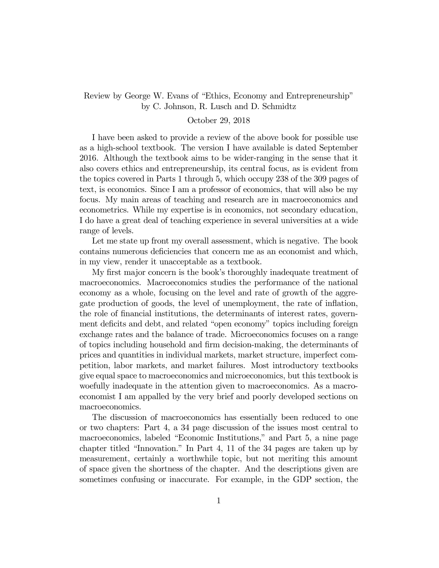Review by George W. Evans of "Ethics, Economy and Entrepreneurship" by C. Johnson, R. Lusch and D. Schmidtz

## October 29, 2018

I have been asked to provide a review of the above book for possible use as a high-school textbook. The version I have available is dated September 2016. Although the textbook aims to be wider-ranging in the sense that it also covers ethics and entrepreneurship, its central focus, as is evident from the topics covered in Parts 1 through 5, which occupy 238 of the 309 pages of text, is economics. Since I am a professor of economics, that will also be my focus. My main areas of teaching and research are in macroeconomics and econometrics. While my expertise is in economics, not secondary education, I do have a great deal of teaching experience in several universities at a wide range of levels.

Let me state up front my overall assessment, which is negative. The book contains numerous deficiencies that concern me as an economist and which, in my view, render it unacceptable as a textbook.

My first major concern is the book's thoroughly inadequate treatment of macroeconomics. Macroeconomics studies the performance of the national economy as a whole, focusing on the level and rate of growth of the aggregate production of goods, the level of unemployment, the rate of inflation, the role of financial institutions, the determinants of interest rates, government deficits and debt, and related "open economy" topics including foreign exchange rates and the balance of trade. Microeconomics focuses on a range of topics including household and firm decision-making, the determinants of prices and quantities in individual markets, market structure, imperfect competition, labor markets, and market failures. Most introductory textbooks give equal space to macroeconomics and microeconomics, but this textbook is woefully inadequate in the attention given to macroeconomics. As a macroeconomist I am appalled by the very brief and poorly developed sections on macroeconomics.

The discussion of macroeconomics has essentially been reduced to one or two chapters: Part 4, a 34 page discussion of the issues most central to macroeconomics, labeled "Economic Institutions," and Part 5, a nine page chapter titled "Innovation." In Part 4, 11 of the 34 pages are taken up by measurement, certainly a worthwhile topic, but not meriting this amount of space given the shortness of the chapter. And the descriptions given are sometimes confusing or inaccurate. For example, in the GDP section, the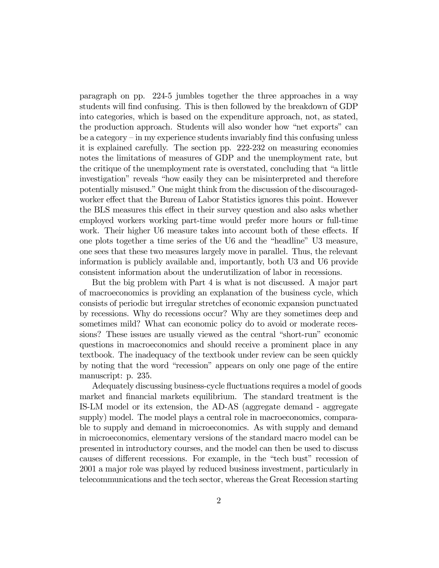paragraph on pp. 224-5 jumbles together the three approaches in a way students will find confusing. This is then followed by the breakdown of GDP into categories, which is based on the expenditure approach, not, as stated, the production approach. Students will also wonder how "net exports" can be a category — in my experience students invariably find this confusing unless it is explained carefully. The section pp. 222-232 on measuring economies notes the limitations of measures of GDP and the unemployment rate, but the critique of the unemployment rate is overstated, concluding that "a little investigation" reveals "how easily they can be misinterpreted and therefore potentially misused." One might think from the discussion of the discouragedworker effect that the Bureau of Labor Statistics ignores this point. However the BLS measures this effect in their survey question and also asks whether employed workers working part-time would prefer more hours or full-time work. Their higher U6 measure takes into account both of these effects. If one plots together a time series of the U6 and the "headline" U3 measure, one sees that these two measures largely move in parallel. Thus, the relevant information is publicly available and, importantly, both U3 and U6 provide consistent information about the underutilization of labor in recessions.

But the big problem with Part 4 is what is not discussed. A major part of macroeconomics is providing an explanation of the business cycle, which consists of periodic but irregular stretches of economic expansion punctuated by recessions. Why do recessions occur? Why are they sometimes deep and sometimes mild? What can economic policy do to avoid or moderate recessions? These issues are usually viewed as the central "short-run" economic questions in macroeconomics and should receive a prominent place in any textbook. The inadequacy of the textbook under review can be seen quickly by noting that the word "recession" appears on only one page of the entire manuscript: p. 235.

Adequately discussing business-cycle fluctuations requires a model of goods market and financial markets equilibrium. The standard treatment is the IS-LM model or its extension, the AD-AS (aggregate demand - aggregate supply) model. The model plays a central role in macroeconomics, comparable to supply and demand in microeconomics. As with supply and demand in microeconomics, elementary versions of the standard macro model can be presented in introductory courses, and the model can then be used to discuss causes of different recessions. For example, in the "tech bust" recession of 2001 a major role was played by reduced business investment, particularly in telecommunications and the tech sector, whereas the Great Recession starting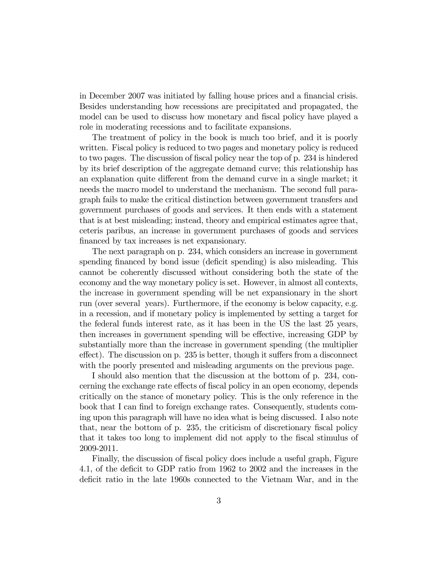in December 2007 was initiated by falling house prices and a financial crisis. Besides understanding how recessions are precipitated and propagated, the model can be used to discuss how monetary and fiscal policy have played a role in moderating recessions and to facilitate expansions.

The treatment of policy in the book is much too brief, and it is poorly written. Fiscal policy is reduced to two pages and monetary policy is reduced to two pages. The discussion of fiscal policy near the top of p. 234 is hindered by its brief description of the aggregate demand curve; this relationship has an explanation quite different from the demand curve in a single market; it needs the macro model to understand the mechanism. The second full paragraph fails to make the critical distinction between government transfers and government purchases of goods and services. It then ends with a statement that is at best misleading; instead, theory and empirical estimates agree that, ceteris paribus, an increase in government purchases of goods and services financed by tax increases is net expansionary.

The next paragraph on p. 234, which considers an increase in government spending financed by bond issue (deficit spending) is also misleading. This cannot be coherently discussed without considering both the state of the economy and the way monetary policy is set. However, in almost all contexts, the increase in government spending will be net expansionary in the short run (over several years). Furthermore, if the economy is below capacity, e.g. in a recession, and if monetary policy is implemented by setting a target for the federal funds interest rate, as it has been in the US the last 25 years, then increases in government spending will be effective, increasing GDP by substantially more than the increase in government spending (the multiplier effect). The discussion on p. 235 is better, though it suffers from a disconnect with the poorly presented and misleading arguments on the previous page.

I should also mention that the discussion at the bottom of p. 234, concerning the exchange rate effects of fiscal policy in an open economy, depends critically on the stance of monetary policy. This is the only reference in the book that I can find to foreign exchange rates. Consequently, students coming upon this paragraph will have no idea what is being discussed. I also note that, near the bottom of p. 235, the criticism of discretionary fiscal policy that it takes too long to implement did not apply to the fiscal stimulus of 2009-2011.

Finally, the discussion of fiscal policy does include a useful graph, Figure 4.1, of the deficit to GDP ratio from 1962 to 2002 and the increases in the deficit ratio in the late 1960s connected to the Vietnam War, and in the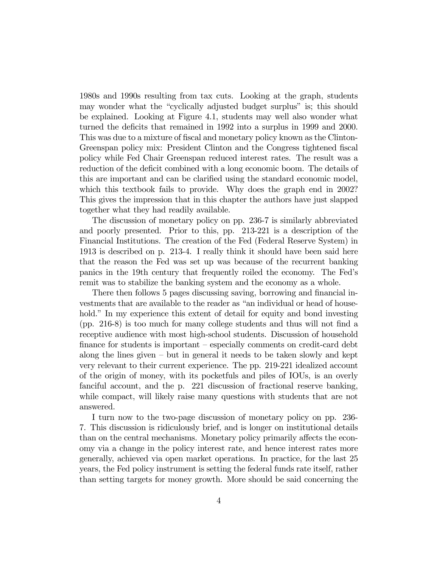1980s and 1990s resulting from tax cuts. Looking at the graph, students may wonder what the "cyclically adjusted budget surplus" is; this should be explained. Looking at Figure 4.1, students may well also wonder what turned the deficits that remained in 1992 into a surplus in 1999 and 2000. This was due to a mixture of fiscal and monetary policy known as the Clinton-Greenspan policy mix: President Clinton and the Congress tightened fiscal policy while Fed Chair Greenspan reduced interest rates. The result was a reduction of the deficit combined with a long economic boom. The details of this are important and can be clarified using the standard economic model, which this textbook fails to provide. Why does the graph end in 2002? This gives the impression that in this chapter the authors have just slapped together what they had readily available.

The discussion of monetary policy on pp. 236-7 is similarly abbreviated and poorly presented. Prior to this, pp. 213-221 is a description of the Financial Institutions. The creation of the Fed (Federal Reserve System) in 1913 is described on p. 213-4. I really think it should have been said here that the reason the Fed was set up was because of the recurrent banking panics in the 19th century that frequently roiled the economy. The Fed's remit was to stabilize the banking system and the economy as a whole.

There then follows 5 pages discussing saving, borrowing and financial investments that are available to the reader as "an individual or head of household." In my experience this extent of detail for equity and bond investing (pp. 216-8) is too much for many college students and thus will not find a receptive audience with most high-school students. Discussion of household finance for students is important — especially comments on credit-card debt along the lines given  $-$  but in general it needs to be taken slowly and kept very relevant to their current experience. The pp. 219-221 idealized account of the origin of money, with its pocketfuls and piles of IOUs, is an overly fanciful account, and the p. 221 discussion of fractional reserve banking, while compact, will likely raise many questions with students that are not answered.

I turn now to the two-page discussion of monetary policy on pp. 236- 7. This discussion is ridiculously brief, and is longer on institutional details than on the central mechanisms. Monetary policy primarily affects the economy via a change in the policy interest rate, and hence interest rates more generally, achieved via open market operations. In practice, for the last 25 years, the Fed policy instrument is setting the federal funds rate itself, rather than setting targets for money growth. More should be said concerning the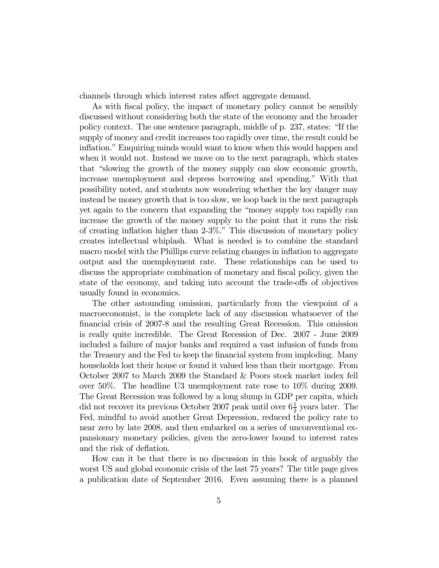channels through which interest rates affect aggregate demand.

As with fiscal policy, the impact of monetary policy cannot be sensibly discussed without considering both the state of the economy and the broader policy context. The one sentence paragraph, middle of p. 237, states: "If the supply of money and credit increases too rapidly over time, the result could be inflation." Enquiring minds would want to know when this would happen and when it would not. Instead we move on to the next paragraph, which states that "slowing the growth of the money supply can slow economic growth, increase unemployment and depress borrowing and spending." With that possibility noted, and students now wondering whether the key danger may instead be money growth that is too slow, we loop back in the next paragraph yet again to the concern that expanding the "money supply too rapidly can increase the growth of the money supply to the point that it runs the risk of creating inflation higher than 2-3%." This discussion of monetary policy creates intellectual whiplash. What is needed is to combine the standard macro model with the Phillips curve relating changes in inflation to aggregate output and the unemployment rate. These relationships can be used to discuss the appropriate combination of monetary and fiscal policy, given the state of the economy, and taking into account the trade-offs of objectives usually found in economics.

The other astounding omission, particularly from the viewpoint of a macroeconomist, is the complete lack of any discussion whatsoever of the financial crisis of 2007-8 and the resulting Great Recession. This omission is really quite incredible. The Great Recession of Dec. 2007 - June 2009 included a failure of major banks and required a vast infusion of funds from the Treasury and the Fed to keep the financial system from imploding. Many households lost their house or found it valued less than their mortgage. From October 2007 to March 2009 the Standard & Poors stock market index fell over 50%. The headline U3 unemployment rate rose to 10% during 2009. The Great Recession was followed by a long slump in GDP per capita, which did not recover its previous October 2007 peak until over  $6\frac{1}{2}$  years later. The Fed, mindful to avoid another Great Depression, reduced the policy rate to near zero by late 2008, and then embarked on a series of unconventional expansionary monetary policies, given the zero-lower bound to interest rates and the risk of deflation.

How can it be that there is no discussion in this book of arguably the worst US and global economic crisis of the last 75 years? The title page gives a publication date of September 2016. Even assuming there is a planned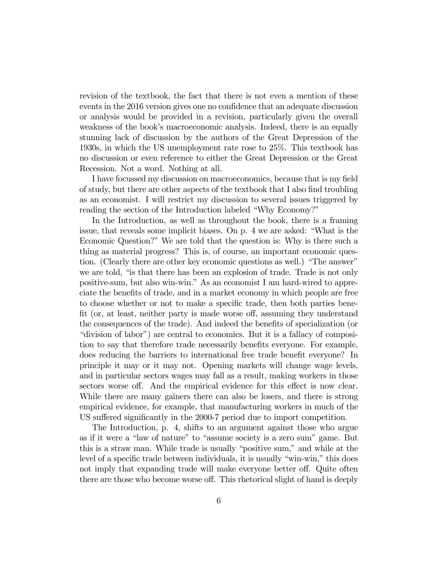revision of the textbook, the fact that there is not even a mention of these events in the 2016 version gives one no confidence that an adequate discussion or analysis would be provided in a revision, particularly given the overall weakness of the book's macroeconomic analysis. Indeed, there is an equally stunning lack of discussion by the authors of the Great Depression of the 1930s, in which the US unemployment rate rose to 25%. This textbook has no discussion or even reference to either the Great Depression or the Great Recession. Not a word. Nothing at all.

I have focussed my discussion on macroeconomics, because that is my field of study, but there are other aspects of the textbook that I also find troubling as an economist. I will restrict my discussion to several issues triggered by reading the section of the Introduction labeled "Why Economy?"

In the Introduction, as well as throughout the book, there is a framing issue, that reveals some implicit biases. On p. 4 we are asked: "What is the Economic Question?" We are told that the question is: Why is there such a thing as material progress? This is, of course, an important economic question. (Clearly there are other key economic questions as well.) "The answer" we are told, "is that there has been an explosion of trade. Trade is not only positive-sum, but also win-win." As an economist I am hard-wired to appreciate the benefits of trade, and in a market economy in which people are free to choose whether or not to make a specific trade, then both parties benefit (or, at least, neither party is made worse off, assuming they understand the consequences of the trade). And indeed the benefits of specialization (or "division of labor") are central to economics. But it is a fallacy of composition to say that therefore trade necessarily benefits everyone. For example, does reducing the barriers to international free trade benefit everyone? In principle it may or it may not. Opening markets will change wage levels, and in particular sectors wages may fall as a result, making workers in those sectors worse off. And the empirical evidence for this effect is now clear. While there are many gainers there can also be losers, and there is strong empirical evidence, for example, that manufacturing workers in much of the US suffered significantly in the 2000-7 period due to import competition.

The Introduction, p. 4, shifts to an argument against those who argue as if it were a "law of nature" to "assume society is a zero sum" game. But this is a straw man. While trade is usually "positive sum," and while at the level of a specific trade between individuals, it is usually "win-win," this does not imply that expanding trade will make everyone better off. Quite often there are those who become worse off. This rhetorical slight of hand is deeply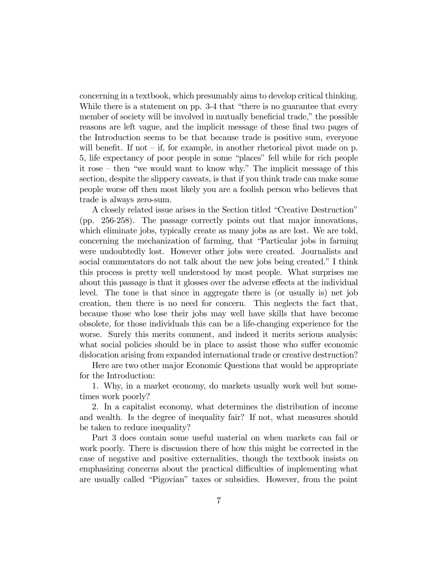concerning in a textbook, which presumably aims to develop critical thinking. While there is a statement on pp. 3-4 that "there is no guarantee that every member of society will be involved in mutually beneficial trade," the possible reasons are left vague, and the implicit message of these final two pages of the Introduction seems to be that because trade is positive sum, everyone will benefit. If not  $-$  if, for example, in another rhetorical pivot made on p. 5, life expectancy of poor people in some "places" fell while for rich people it rose — then "we would want to know why." The implicit message of this section, despite the slippery caveats, is that if you think trade can make some people worse off then most likely you are a foolish person who believes that trade is always zero-sum.

A closely related issue arises in the Section titled "Creative Destruction" (pp. 256-258). The passage correctly points out that major innovations, which eliminate jobs, typically create as many jobs as are lost. We are told, concerning the mechanization of farming, that "Particular jobs in farming were undoubtedly lost. However other jobs were created. Journalists and social commentators do not talk about the new jobs being created." I think this process is pretty well understood by most people. What surprises me about this passage is that it glosses over the adverse effects at the individual level. The tone is that since in aggregate there is (or usually is) net job creation, then there is no need for concern. This neglects the fact that, because those who lose their jobs may well have skills that have become obsolete, for those individuals this can be a life-changing experience for the worse. Surely this merits comment, and indeed it merits serious analysis: what social policies should be in place to assist those who suffer economic dislocation arising from expanded international trade or creative destruction?

Here are two other major Economic Questions that would be appropriate for the Introduction:

1. Why, in a market economy, do markets usually work well but sometimes work poorly?

2. In a capitalist economy, what determines the distribution of income and wealth. Is the degree of inequality fair? If not, what measures should be taken to reduce inequality?

Part 3 does contain some useful material on when markets can fail or work poorly. There is discussion there of how this might be corrected in the case of negative and positive externalities, though the textbook insists on emphasizing concerns about the practical difficulties of implementing what are usually called "Pigovian" taxes or subsidies. However, from the point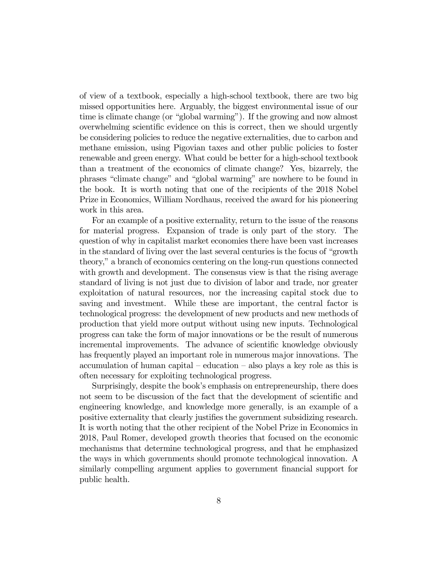of view of a textbook, especially a high-school textbook, there are two big missed opportunities here. Arguably, the biggest environmental issue of our time is climate change (or "global warming"). If the growing and now almost overwhelming scientific evidence on this is correct, then we should urgently be considering policies to reduce the negative externalities, due to carbon and methane emission, using Pigovian taxes and other public policies to foster renewable and green energy. What could be better for a high-school textbook than a treatment of the economics of climate change? Yes, bizarrely, the phrases "climate change" and "global warming" are nowhere to be found in the book. It is worth noting that one of the recipients of the 2018 Nobel Prize in Economics, William Nordhaus, received the award for his pioneering work in this area.

For an example of a positive externality, return to the issue of the reasons for material progress. Expansion of trade is only part of the story. The question of why in capitalist market economies there have been vast increases in the standard of living over the last several centuries is the focus of "growth theory," a branch of economics centering on the long-run questions connected with growth and development. The consensus view is that the rising average standard of living is not just due to division of labor and trade, nor greater exploitation of natural resources, nor the increasing capital stock due to saving and investment. While these are important, the central factor is technological progress: the development of new products and new methods of production that yield more output without using new inputs. Technological progress can take the form of major innovations or be the result of numerous incremental improvements. The advance of scientific knowledge obviously has frequently played an important role in numerous major innovations. The accumulation of human capital — education — also plays a key role as this is often necessary for exploiting technological progress.

Surprisingly, despite the book's emphasis on entrepreneurship, there does not seem to be discussion of the fact that the development of scientific and engineering knowledge, and knowledge more generally, is an example of a positive externality that clearly justifies the government subsidizing research. It is worth noting that the other recipient of the Nobel Prize in Economics in 2018, Paul Romer, developed growth theories that focused on the economic mechanisms that determine technological progress, and that he emphasized the ways in which governments should promote technological innovation. A similarly compelling argument applies to government financial support for public health.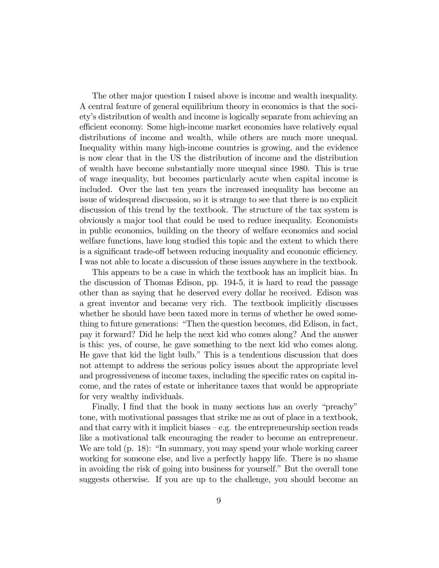The other major question I raised above is income and wealth inequality. A central feature of general equilibrium theory in economics is that the society's distribution of wealth and income is logically separate from achieving an efficient economy. Some high-income market economies have relatively equal distributions of income and wealth, while others are much more unequal. Inequality within many high-income countries is growing, and the evidence is now clear that in the US the distribution of income and the distribution of wealth have become substantially more unequal since 1980. This is true of wage inequality, but becomes particularly acute when capital income is included. Over the last ten years the increased inequality has become an issue of widespread discussion, so it is strange to see that there is no explicit discussion of this trend by the textbook. The structure of the tax system is obviously a major tool that could be used to reduce inequality. Economists in public economics, building on the theory of welfare economics and social welfare functions, have long studied this topic and the extent to which there is a significant trade-off between reducing inequality and economic efficiency. I was not able to locate a discussion of these issues anywhere in the textbook.

This appears to be a case in which the textbook has an implicit bias. In the discussion of Thomas Edison, pp. 194-5, it is hard to read the passage other than as saying that he deserved every dollar he received. Edison was a great inventor and became very rich. The textbook implicitly discusses whether he should have been taxed more in terms of whether he owed something to future generations: "Then the question becomes, did Edison, in fact, pay it forward? Did he help the next kid who comes along? And the answer is this: yes, of course, he gave something to the next kid who comes along. He gave that kid the light bulb." This is a tendentious discussion that does not attempt to address the serious policy issues about the appropriate level and progressiveness of income taxes, including the specific rates on capital income, and the rates of estate or inheritance taxes that would be appropriate for very wealthy individuals.

Finally, I find that the book in many sections has an overly "preachy" tone, with motivational passages that strike me as out of place in a textbook, and that carry with it implicit biases  $-e.g.$  the entrepreneurship section reads like a motivational talk encouraging the reader to become an entrepreneur. We are told (p. 18): "In summary, you may spend your whole working career working for someone else, and live a perfectly happy life. There is no shame in avoiding the risk of going into business for yourself." But the overall tone suggests otherwise. If you are up to the challenge, you should become an